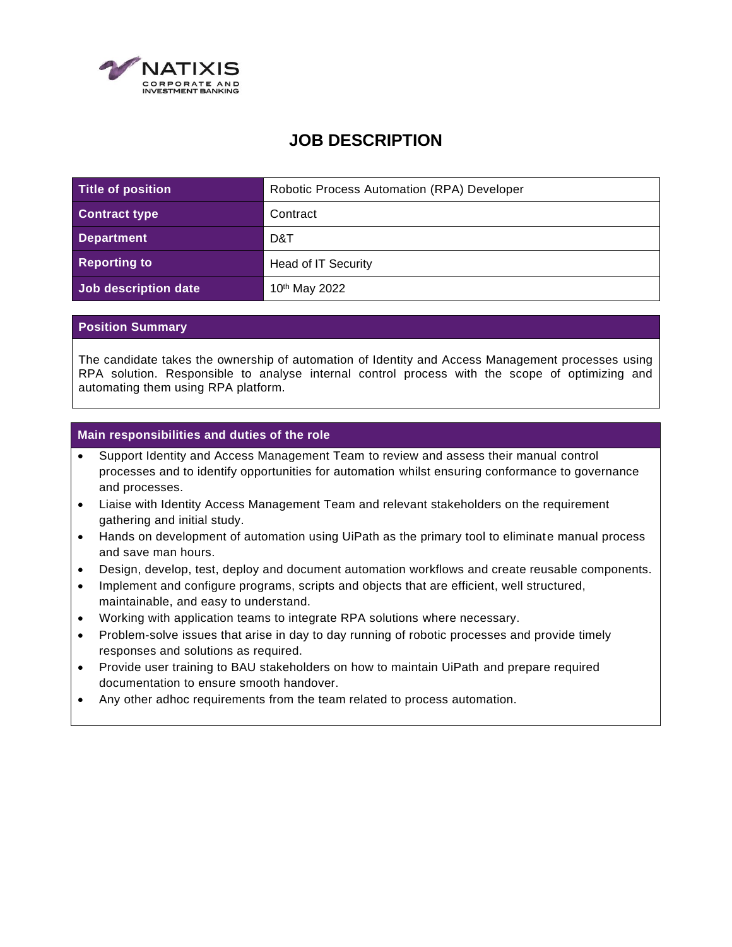

# **JOB DESCRIPTION**

| Title of position    | Robotic Process Automation (RPA) Developer |
|----------------------|--------------------------------------------|
| <b>Contract type</b> | Contract                                   |
| <b>Department</b>    | D&T                                        |
| <b>Reporting to</b>  | Head of IT Security                        |
| Job description date | 10 <sup>th</sup> May 2022                  |

## **Position Summary**

The candidate takes the ownership of automation of Identity and Access Management processes using RPA solution. Responsible to analyse internal control process with the scope of optimizing and automating them using RPA platform.

## **Main responsibilities and duties of the role**

- Support Identity and Access Management Team to review and assess their manual control processes and to identify opportunities for automation whilst ensuring conformance to governance and processes.
- Liaise with Identity Access Management Team and relevant stakeholders on the requirement gathering and initial study.
- Hands on development of automation using UiPath as the primary tool to eliminate manual process and save man hours.
- Design, develop, test, deploy and document automation workflows and create reusable components.
- Implement and configure programs, scripts and objects that are efficient, well structured, maintainable, and easy to understand.
- Working with application teams to integrate RPA solutions where necessary.
- Problem-solve issues that arise in day to day running of robotic processes and provide timely responses and solutions as required.
- Provide user training to BAU stakeholders on how to maintain UiPath and prepare required documentation to ensure smooth handover.
- Any other adhoc requirements from the team related to process automation.